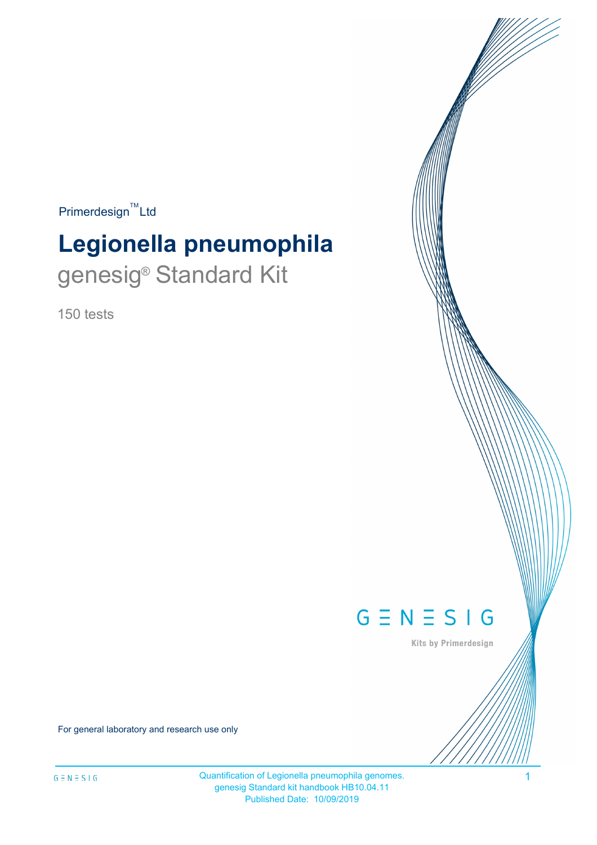$Primerdesign^{\text{TM}}$ Ltd

# **Legionella pneumophila** genesig<sup>®</sup> Standard Kit

150 tests



Kits by Primerdesign

For general laboratory and research use only

Quantification of Legionella pneumophila genomes. 1 genesig Standard kit handbook HB10.04.11 Published Date: 10/09/2019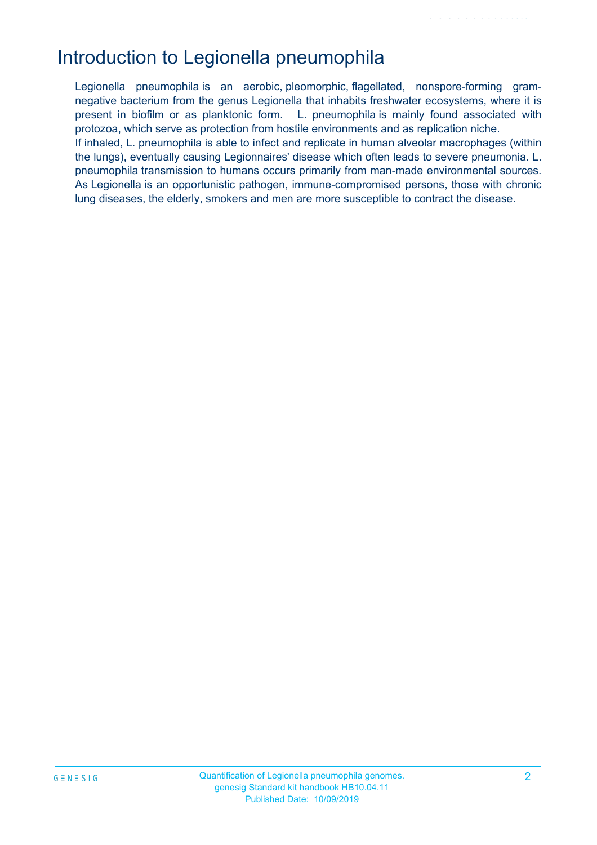## Introduction to Legionella pneumophila

Legionella pneumophila is an aerobic, pleomorphic, flagellated, nonspore-forming gramnegative bacterium from the genus Legionella that inhabits freshwater ecosystems, where it is present in biofilm or as planktonic form. L. pneumophila is mainly found associated with protozoa, which serve as protection from hostile environments and as replication niche. If inhaled, L. pneumophila is able to infect and replicate in human alveolar macrophages (within the lungs), eventually causing Legionnaires' disease which often leads to severe pneumonia. L. pneumophila transmission to humans occurs primarily from man-made environmental sources. As Legionella is an opportunistic pathogen, immune-compromised persons, those with chronic lung diseases, the elderly, smokers and men are more susceptible to contract the disease.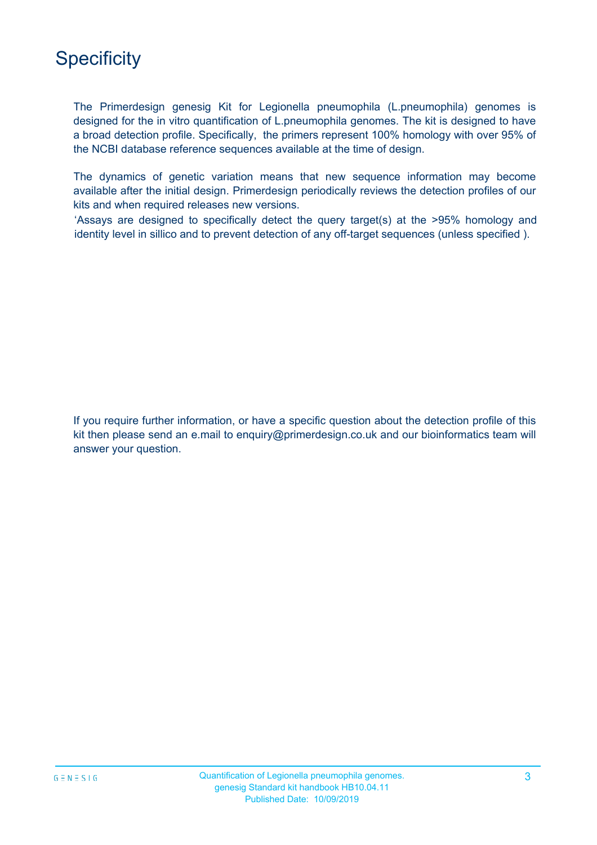## **Specificity**

The Primerdesign genesig Kit for Legionella pneumophila (L.pneumophila) genomes is designed for the in vitro quantification of L.pneumophila genomes. The kit is designed to have a broad detection profile. Specifically, the primers represent 100% homology with over 95% of the NCBI database reference sequences available at the time of design.

The dynamics of genetic variation means that new sequence information may become available after the initial design. Primerdesign periodically reviews the detection profiles of our kits and when required releases new versions.

'Assays are designed to specifically detect the query target(s) at the >95% homology and identity level in sillico and to prevent detection of any off-target sequences (unless specified ).

If you require further information, or have a specific question about the detection profile of this kit then please send an e.mail to enquiry@primerdesign.co.uk and our bioinformatics team will answer your question.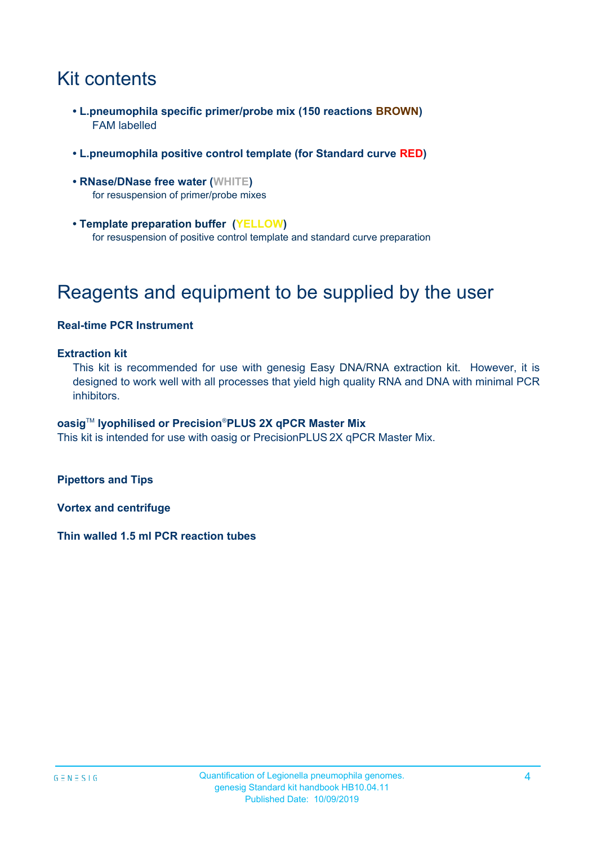## Kit contents

- **L.pneumophila specific primer/probe mix (150 reactions BROWN)** FAM labelled
- **L.pneumophila positive control template (for Standard curve RED)**
- **RNase/DNase free water (WHITE)** for resuspension of primer/probe mixes
- **Template preparation buffer (YELLOW)** for resuspension of positive control template and standard curve preparation

## Reagents and equipment to be supplied by the user

#### **Real-time PCR Instrument**

#### **Extraction kit**

This kit is recommended for use with genesig Easy DNA/RNA extraction kit. However, it is designed to work well with all processes that yield high quality RNA and DNA with minimal PCR inhibitors.

#### **oasig**TM **lyophilised or Precision**®**PLUS 2X qPCR Master Mix**

This kit is intended for use with oasig or PrecisionPLUS 2X qPCR Master Mix.

**Pipettors and Tips**

**Vortex and centrifuge**

**Thin walled 1.5 ml PCR reaction tubes**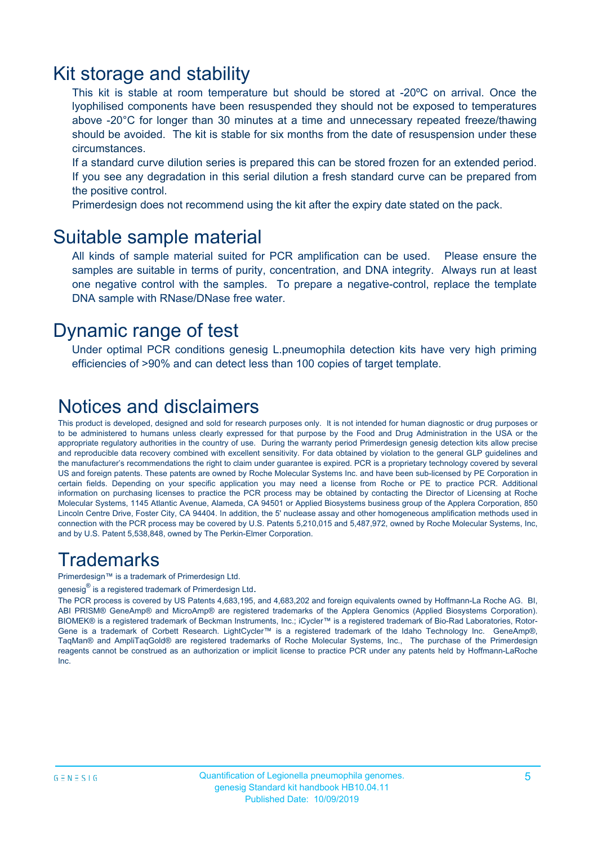### Kit storage and stability

This kit is stable at room temperature but should be stored at -20ºC on arrival. Once the lyophilised components have been resuspended they should not be exposed to temperatures above -20°C for longer than 30 minutes at a time and unnecessary repeated freeze/thawing should be avoided. The kit is stable for six months from the date of resuspension under these circumstances.

If a standard curve dilution series is prepared this can be stored frozen for an extended period. If you see any degradation in this serial dilution a fresh standard curve can be prepared from the positive control.

Primerdesign does not recommend using the kit after the expiry date stated on the pack.

### Suitable sample material

All kinds of sample material suited for PCR amplification can be used. Please ensure the samples are suitable in terms of purity, concentration, and DNA integrity. Always run at least one negative control with the samples. To prepare a negative-control, replace the template DNA sample with RNase/DNase free water.

### Dynamic range of test

Under optimal PCR conditions genesig L.pneumophila detection kits have very high priming efficiencies of >90% and can detect less than 100 copies of target template.

### Notices and disclaimers

This product is developed, designed and sold for research purposes only. It is not intended for human diagnostic or drug purposes or to be administered to humans unless clearly expressed for that purpose by the Food and Drug Administration in the USA or the appropriate regulatory authorities in the country of use. During the warranty period Primerdesign genesig detection kits allow precise and reproducible data recovery combined with excellent sensitivity. For data obtained by violation to the general GLP guidelines and the manufacturer's recommendations the right to claim under guarantee is expired. PCR is a proprietary technology covered by several US and foreign patents. These patents are owned by Roche Molecular Systems Inc. and have been sub-licensed by PE Corporation in certain fields. Depending on your specific application you may need a license from Roche or PE to practice PCR. Additional information on purchasing licenses to practice the PCR process may be obtained by contacting the Director of Licensing at Roche Molecular Systems, 1145 Atlantic Avenue, Alameda, CA 94501 or Applied Biosystems business group of the Applera Corporation, 850 Lincoln Centre Drive, Foster City, CA 94404. In addition, the 5' nuclease assay and other homogeneous amplification methods used in connection with the PCR process may be covered by U.S. Patents 5,210,015 and 5,487,972, owned by Roche Molecular Systems, Inc, and by U.S. Patent 5,538,848, owned by The Perkin-Elmer Corporation.

### **Trademarks**

Primerdesign™ is a trademark of Primerdesign Ltd.

genesig $^\circledR$  is a registered trademark of Primerdesign Ltd.

The PCR process is covered by US Patents 4,683,195, and 4,683,202 and foreign equivalents owned by Hoffmann-La Roche AG. BI, ABI PRISM® GeneAmp® and MicroAmp® are registered trademarks of the Applera Genomics (Applied Biosystems Corporation). BIOMEK® is a registered trademark of Beckman Instruments, Inc.; iCycler™ is a registered trademark of Bio-Rad Laboratories, Rotor-Gene is a trademark of Corbett Research. LightCycler™ is a registered trademark of the Idaho Technology Inc. GeneAmp®, TaqMan® and AmpliTaqGold® are registered trademarks of Roche Molecular Systems, Inc., The purchase of the Primerdesign reagents cannot be construed as an authorization or implicit license to practice PCR under any patents held by Hoffmann-LaRoche Inc.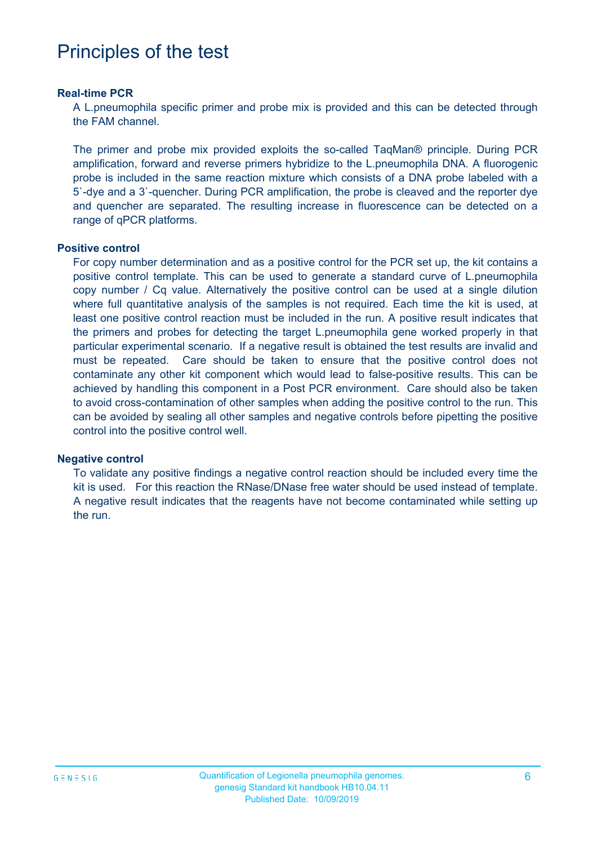### Principles of the test

#### **Real-time PCR**

A L.pneumophila specific primer and probe mix is provided and this can be detected through the FAM channel.

The primer and probe mix provided exploits the so-called TaqMan® principle. During PCR amplification, forward and reverse primers hybridize to the L.pneumophila DNA. A fluorogenic probe is included in the same reaction mixture which consists of a DNA probe labeled with a 5`-dye and a 3`-quencher. During PCR amplification, the probe is cleaved and the reporter dye and quencher are separated. The resulting increase in fluorescence can be detected on a range of qPCR platforms.

#### **Positive control**

For copy number determination and as a positive control for the PCR set up, the kit contains a positive control template. This can be used to generate a standard curve of L.pneumophila copy number / Cq value. Alternatively the positive control can be used at a single dilution where full quantitative analysis of the samples is not required. Each time the kit is used, at least one positive control reaction must be included in the run. A positive result indicates that the primers and probes for detecting the target L.pneumophila gene worked properly in that particular experimental scenario. If a negative result is obtained the test results are invalid and must be repeated. Care should be taken to ensure that the positive control does not contaminate any other kit component which would lead to false-positive results. This can be achieved by handling this component in a Post PCR environment. Care should also be taken to avoid cross-contamination of other samples when adding the positive control to the run. This can be avoided by sealing all other samples and negative controls before pipetting the positive control into the positive control well.

#### **Negative control**

To validate any positive findings a negative control reaction should be included every time the kit is used. For this reaction the RNase/DNase free water should be used instead of template. A negative result indicates that the reagents have not become contaminated while setting up the run.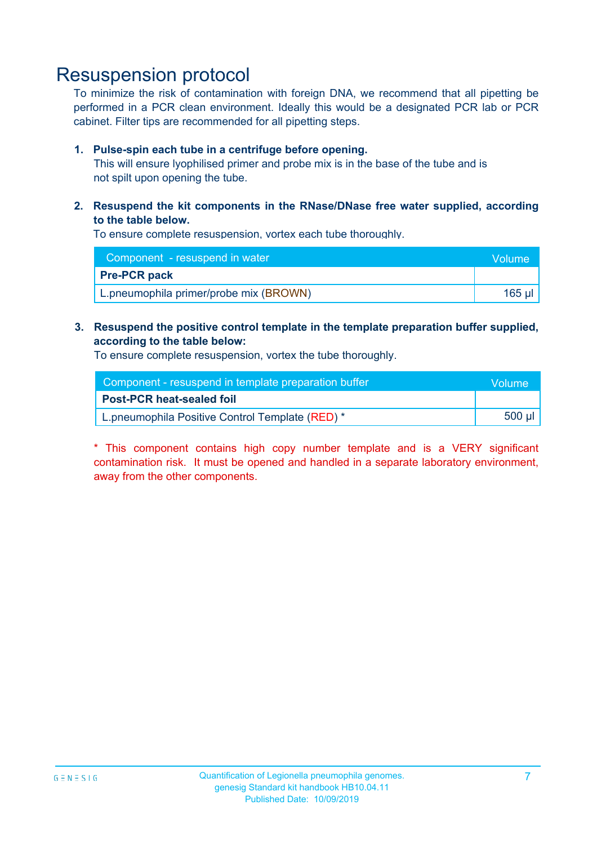### Resuspension protocol

To minimize the risk of contamination with foreign DNA, we recommend that all pipetting be performed in a PCR clean environment. Ideally this would be a designated PCR lab or PCR cabinet. Filter tips are recommended for all pipetting steps.

#### **1. Pulse-spin each tube in a centrifuge before opening.**

This will ensure lyophilised primer and probe mix is in the base of the tube and is not spilt upon opening the tube.

#### **2. Resuspend the kit components in the RNase/DNase free water supplied, according to the table below.**

To ensure complete resuspension, vortex each tube thoroughly.

| Component - resuspend in water         | Volume |
|----------------------------------------|--------|
| <b>Pre-PCR pack</b>                    |        |
| L.pneumophila primer/probe mix (BROWN) | 165 ul |

#### **3. Resuspend the positive control template in the template preparation buffer supplied, according to the table below:**

To ensure complete resuspension, vortex the tube thoroughly.

| Component - resuspend in template preparation buffer |          |  |
|------------------------------------------------------|----------|--|
| <b>Post-PCR heat-sealed foil</b>                     |          |  |
| L.pneumophila Positive Control Template (RED) *      | $500$ µl |  |

\* This component contains high copy number template and is a VERY significant contamination risk. It must be opened and handled in a separate laboratory environment, away from the other components.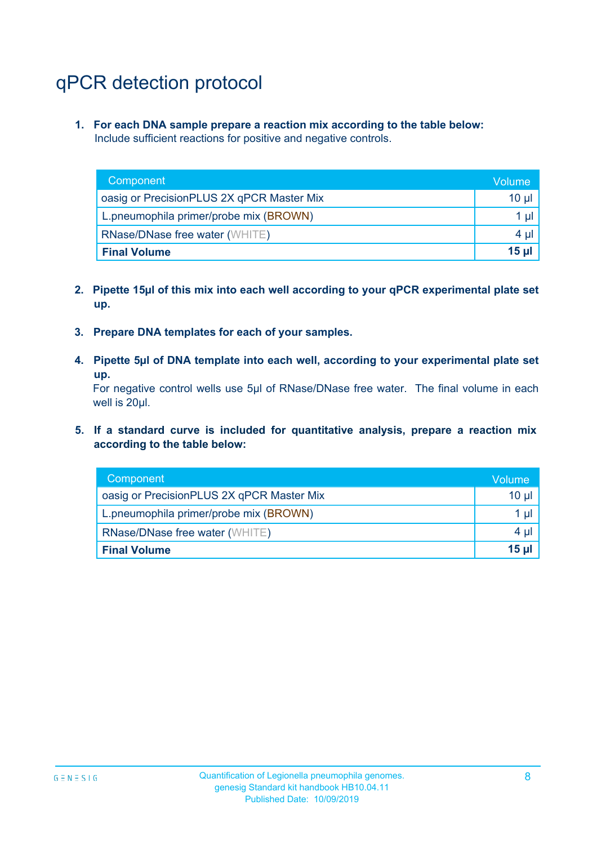# qPCR detection protocol

**1. For each DNA sample prepare a reaction mix according to the table below:** Include sufficient reactions for positive and negative controls.

| Component                                 | Volume          |
|-------------------------------------------|-----------------|
| oasig or PrecisionPLUS 2X qPCR Master Mix | 10 $\mu$        |
| L.pneumophila primer/probe mix (BROWN)    | 1 µl            |
| <b>RNase/DNase free water (WHITE)</b>     | $4 \mu$         |
| <b>Final Volume</b>                       | 15 <sub>µ</sub> |

- **2. Pipette 15µl of this mix into each well according to your qPCR experimental plate set up.**
- **3. Prepare DNA templates for each of your samples.**
- **4. Pipette 5µl of DNA template into each well, according to your experimental plate set up.**

For negative control wells use 5µl of RNase/DNase free water. The final volume in each well is 20µl.

**5. If a standard curve is included for quantitative analysis, prepare a reaction mix according to the table below:**

| Component                                 | \Volume\        |
|-------------------------------------------|-----------------|
| oasig or PrecisionPLUS 2X qPCR Master Mix | 10 µl           |
| L.pneumophila primer/probe mix (BROWN)    | $1 \mu$         |
| <b>RNase/DNase free water (WHITE)</b>     | $4 \mu$         |
| <b>Final Volume</b>                       | 15 <sub>µ</sub> |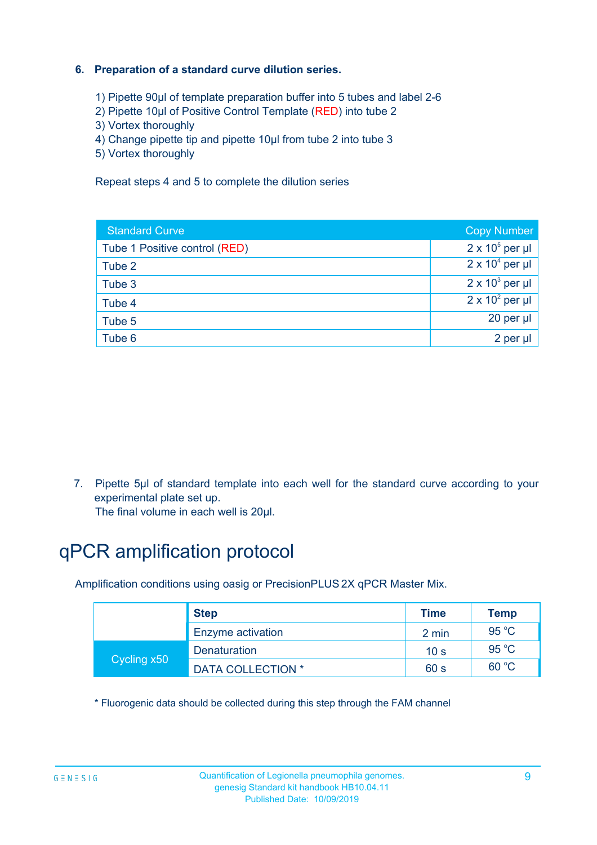#### **6. Preparation of a standard curve dilution series.**

- 1) Pipette 90µl of template preparation buffer into 5 tubes and label 2-6
- 2) Pipette 10µl of Positive Control Template (RED) into tube 2
- 3) Vortex thoroughly
- 4) Change pipette tip and pipette 10µl from tube 2 into tube 3
- 5) Vortex thoroughly

Repeat steps 4 and 5 to complete the dilution series

| <b>Standard Curve</b>         | <b>Copy Number</b>     |
|-------------------------------|------------------------|
| Tube 1 Positive control (RED) | $2 \times 10^5$ per µl |
| Tube 2                        | $2 \times 10^4$ per µl |
| Tube 3                        | $2 \times 10^3$ per µl |
| Tube 4                        | $2 \times 10^2$ per µl |
| Tube 5                        | 20 per µl              |
| Tube 6                        | 2 per µl               |

7. Pipette 5µl of standard template into each well for the standard curve according to your experimental plate set up.

The final volume in each well is 20µl.

# qPCR amplification protocol

Amplification conditions using oasig or PrecisionPLUS 2X qPCR Master Mix.

|             | <b>Step</b>              | <b>Time</b>     | Temp           |
|-------------|--------------------------|-----------------|----------------|
|             | Enzyme activation        | 2 min           | $95^{\circ}$ C |
| Cycling x50 | <b>Denaturation</b>      | 10 <sub>s</sub> | $95^{\circ}$ C |
|             | <b>DATA COLLECTION *</b> | 60 s            | 60 °C          |

\* Fluorogenic data should be collected during this step through the FAM channel